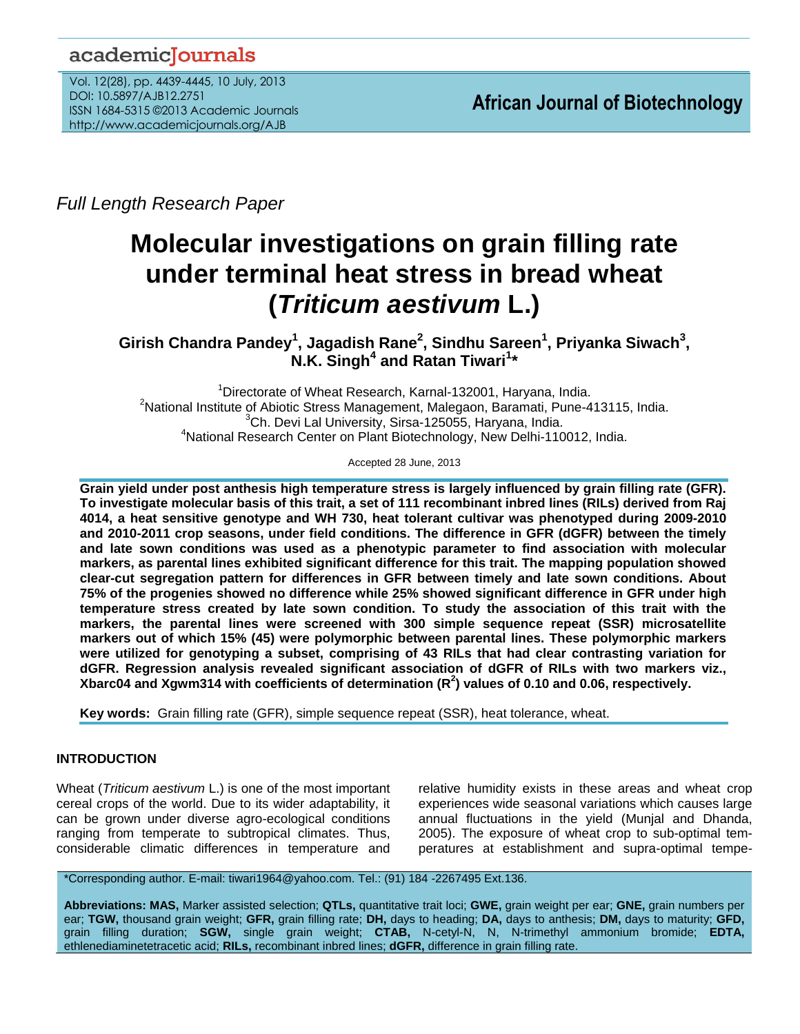# academicJournals

Vol. 12(28), pp. 4439-4445, 10 July, 2013 DOI: 10.5897/AJB12.2751 ISSN 1684-5315 ©2013 Academic Journals http://www.academicjournals.org/AJB

*Full Length Research Paper*

# **Molecular investigations on grain filling rate under terminal heat stress in bread wheat (***Triticum aestivum* **L.)**

**Girish Chandra Pandey<sup>1</sup> , Jagadish Rane<sup>2</sup> , Sindhu Sareen<sup>1</sup> , Priyanka Siwach<sup>3</sup> , N.K. Singh<sup>4</sup> and Ratan Tiwari<sup>1</sup> \***

<sup>1</sup>Directorate of Wheat Research, Karnal-132001, Haryana, India. <sup>2</sup>National Institute of Abiotic Stress Management, Malegaon, Baramati, Pune-413115, India.  ${}^{3}$ Ch. Devi Lal University, Sirsa-125055, Haryana, India. <sup>4</sup>National Research Center on Plant Biotechnology, New Delhi-110012, India.

Accepted 28 June, 2013

**Grain yield under post anthesis high temperature stress is largely influenced by grain filling rate (GFR). To investigate molecular basis of this trait, a set of 111 recombinant inbred lines (RILs) derived from Raj 4014, a heat sensitive genotype and WH 730, heat tolerant cultivar was phenotyped during 2009-2010 and 2010-2011 crop seasons, under field conditions. The difference in GFR (dGFR) between the timely and late sown conditions was used as a phenotypic parameter to find association with molecular markers, as parental lines exhibited significant difference for this trait. The mapping population showed clear-cut segregation pattern for differences in GFR between timely and late sown conditions. About 75% of the progenies showed no difference while 25% showed significant difference in GFR under high temperature stress created by late sown condition. To study the association of this trait with the markers, the parental lines were screened with 300 simple sequence repeat (SSR) microsatellite markers out of which 15% (45) were polymorphic between parental lines. These polymorphic markers were utilized for genotyping a subset, comprising of 43 RILs that had clear contrasting variation for dGFR. Regression analysis revealed significant association of dGFR of RILs with two markers viz., Xbarc04 and Xgwm314 with coefficients of determination (R<sup>2</sup> ) values of 0.10 and 0.06, respectively.**

**Key words:** Grain filling rate (GFR), simple sequence repeat (SSR), heat tolerance, wheat.

# **INTRODUCTION**

Wheat (*Triticum aestivum* L.) is one of the most important cereal crops of the world. Due to its wider adaptability, it can be grown under diverse agro-ecological conditions ranging from temperate to subtropical climates. Thus, considerable climatic differences in temperature and relative humidity exists in these areas and wheat crop experiences wide seasonal variations which causes large annual fluctuations in the yield (Munjal and Dhanda, 2005). The exposure of wheat crop to sub-optimal temperatures at establishment and supra-optimal tempe-

\*Corresponding author. E-mail: tiwari1964@yahoo.com. Tel.: (91) 184 -2267495 Ext.136.

**Abbreviations: MAS,** Marker assisted selection; **QTLs,** quantitative trait loci; **GWE,** grain weight per ear; **GNE,** grain numbers per ear; **TGW,** thousand grain weight; **GFR,** grain filling rate; **DH,** days to heading; **DA,** days to anthesis; **DM,** days to maturity; **GFD,** grain filling duration; **SGW,** single grain weight; **CTAB,** N-cetyl-N, N, N-trimethyl ammonium bromide; **EDTA,** ethlenediaminetetracetic acid; **RILs,** recombinant inbred lines; **dGFR,** difference in grain filling rate.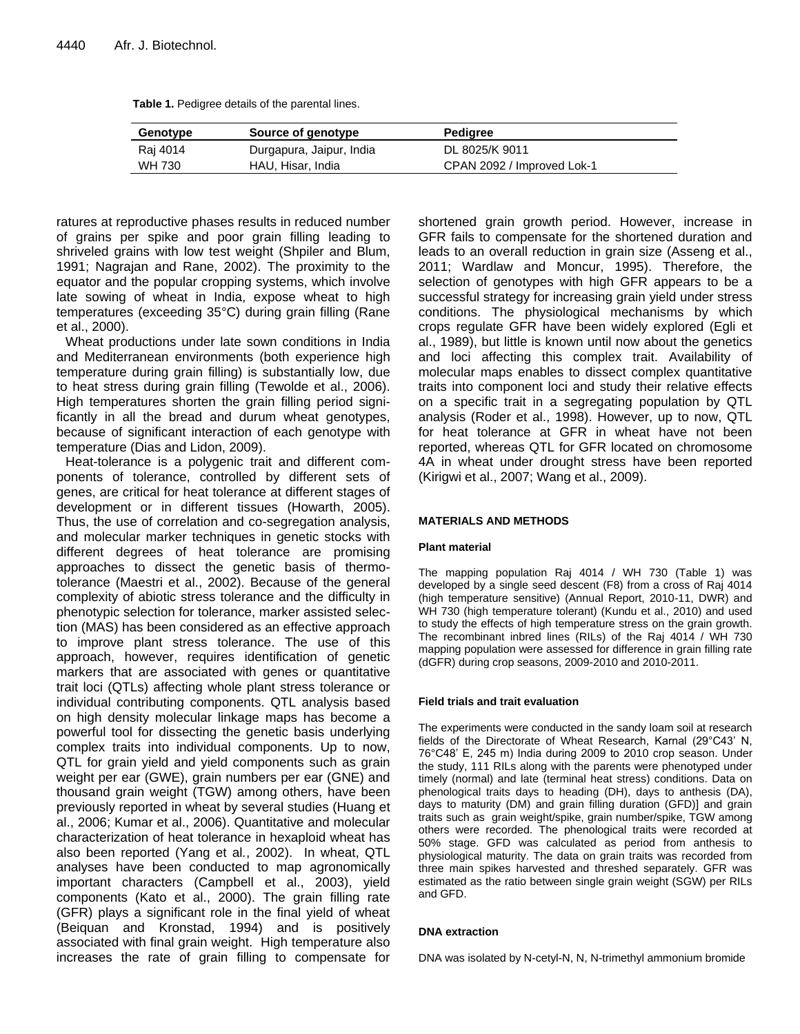| Table 1. Pedigree details of the parental lines. |  |  |
|--------------------------------------------------|--|--|
|--------------------------------------------------|--|--|

| Genotype | Source of genotype       | Pedigree                   |
|----------|--------------------------|----------------------------|
| Raj 4014 | Durgapura, Jaipur, India | DL 8025/K 9011             |
| WH 730   | HAU, Hisar, India        | CPAN 2092 / Improved Lok-1 |

ratures at reproductive phases results in reduced number of grains per spike and poor grain filling leading to shriveled grains with low test weight (Shpiler and Blum, 1991; Nagrajan and Rane, 2002). The proximity to the equator and the popular cropping systems, which involve late sowing of wheat in India, expose wheat to high temperatures (exceeding 35°C) during grain filling (Rane et al., 2000).

Wheat productions under late sown conditions in India and Mediterranean environments (both experience high temperature during grain filling) is substantially low, due to heat stress during grain filling (Tewolde et al., 2006). High temperatures shorten the grain filling period significantly in all the bread and durum wheat genotypes, because of significant interaction of each genotype with temperature (Dias and Lidon, 2009).

Heat-tolerance is a polygenic trait and different components of tolerance, controlled by different sets of genes, are critical for heat tolerance at different stages of development or in different tissues (Howarth, 2005). Thus, the use of correlation and co-segregation analysis, and molecular marker techniques in genetic stocks with different degrees of heat tolerance are promising approaches to dissect the genetic basis of thermotolerance (Maestri et al., 2002). Because of the general complexity of abiotic stress tolerance and the difficulty in phenotypic selection for tolerance, marker assisted selection (MAS) has been considered as an effective approach to improve plant stress tolerance. The use of this approach, however, requires identification of genetic markers that are associated with genes or quantitative trait loci (QTLs) affecting whole plant stress tolerance or individual contributing components. QTL analysis based on high density molecular linkage maps has become a powerful tool for dissecting the genetic basis underlying complex traits into individual components. Up to now, QTL for grain yield and yield components such as grain weight per ear (GWE), grain numbers per ear (GNE) and thousand grain weight (TGW) among others, have been previously reported in wheat by several studies (Huang et al., 2006; Kumar et al., 2006). Quantitative and molecular characterization of heat tolerance in hexaploid wheat has also been reported (Yang et al*.*, 2002). In wheat, QTL analyses have been conducted to map agronomically important characters (Campbell et al., 2003), yield components (Kato et al., 2000). The grain filling rate (GFR) plays a significant role in the final yield of wheat (Beiquan and Kronstad, 1994) and is positively associated with final grain weight. High temperature also increases the rate of grain filling to compensate for shortened grain growth period. However, increase in GFR fails to compensate for the shortened duration and leads to an overall reduction in grain size (Asseng et al., 2011; Wardlaw and Moncur, 1995). Therefore, the selection of genotypes with high GFR appears to be a successful strategy for increasing grain yield under stress conditions. The physiological mechanisms by which crops regulate GFR have been widely explored (Egli et al., 1989), but little is known until now about the genetics and loci affecting this complex trait. Availability of molecular maps enables to dissect complex quantitative traits into component loci and study their relative effects on a specific trait in a segregating population by QTL analysis (Roder et al., 1998). However, up to now, QTL for heat tolerance at GFR in wheat have not been reported, whereas QTL for GFR located on chromosome 4A in wheat under drought stress have been reported (Kirigwi et al., 2007; Wang et al., 2009).

#### **MATERIALS AND METHODS**

#### **Plant material**

The mapping population Raj 4014 / WH 730 (Table 1) was developed by a single seed descent (F8) from a cross of Raj 4014 (high temperature sensitive) (Annual Report, 2010-11, DWR) and WH 730 (high temperature tolerant) (Kundu et al., 2010) and used to study the effects of high temperature stress on the grain growth. The recombinant inbred lines (RILs) of the Raj 4014 / WH 730 mapping population were assessed for difference in grain filling rate (dGFR) during crop seasons, 2009-2010 and 2010-2011.

#### **Field trials and trait evaluation**

The experiments were conducted in the sandy loam soil at research fields of the Directorate of Wheat Research, Karnal (29°C43' N, 76°C48' E, 245 m) India during 2009 to 2010 crop season. Under the study, 111 RILs along with the parents were phenotyped under timely (normal) and late (terminal heat stress) conditions. Data on phenological traits days to heading (DH), days to anthesis (DA), days to maturity (DM) and grain filling duration (GFD)] and grain traits such as grain weight/spike, grain number/spike, TGW among others were recorded. The phenological traits were recorded at 50% stage. GFD was calculated as period from anthesis to physiological maturity. The data on grain traits was recorded from three main spikes harvested and threshed separately. GFR was estimated as the ratio between single grain weight (SGW) per RILs and GFD.

#### **DNA extraction**

DNA was isolated by N-cetyl-N, N, N-trimethyl ammonium bromide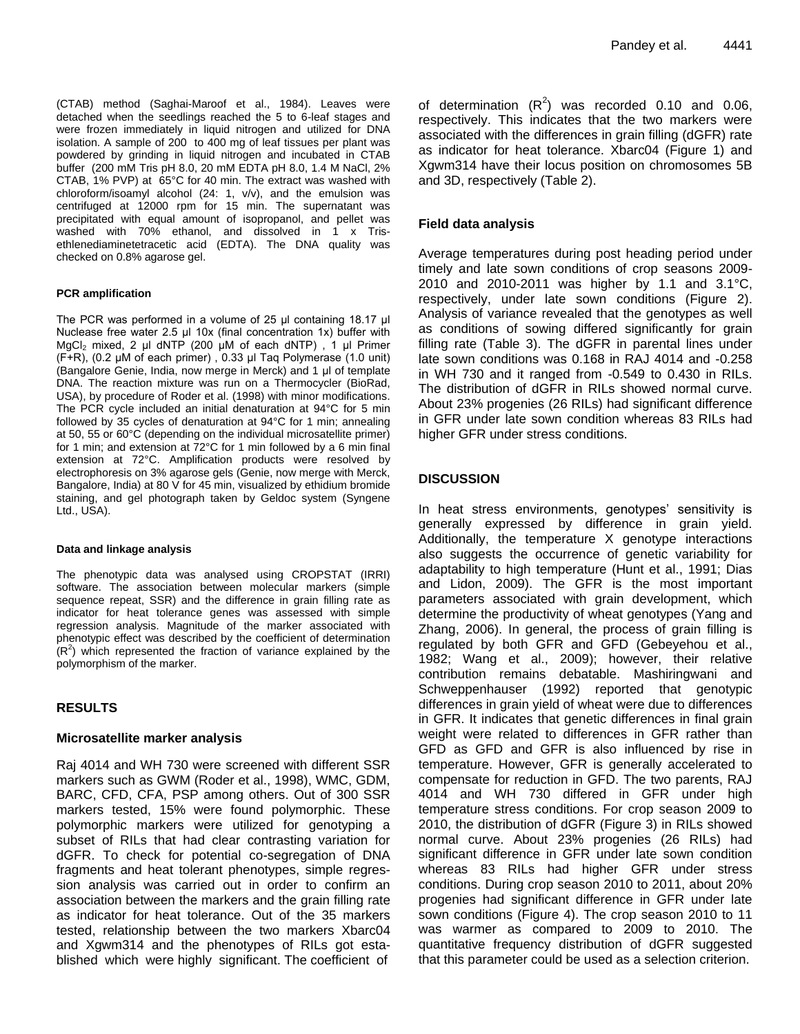(CTAB) method (Saghai-Maroof et al., 1984). Leaves were detached when the seedlings reached the 5 to 6-leaf stages and were frozen immediately in liquid nitrogen and utilized for DNA isolation. A sample of 200 to 400 mg of leaf tissues per plant was powdered by grinding in liquid nitrogen and incubated in CTAB buffer (200 mM Tris pH 8.0, 20 mM EDTA pH 8.0, 1.4 M NaCl, 2% CTAB, 1% PVP) at 65°C for 40 min. The extract was washed with chloroform/isoamyl alcohol (24: 1, v/v), and the emulsion was centrifuged at 12000 rpm for 15 min. The supernatant was precipitated with equal amount of isopropanol, and pellet was washed with 70% ethanol, and dissolved in 1 x Trisethlenediaminetetracetic acid (EDTA). The DNA quality was checked on 0.8% agarose gel.

#### **PCR amplification**

The PCR was performed in a volume of 25 μl containing 18.17 μl Nuclease free water 2.5 μl 10x (final concentration 1x) buffer with MgCl<sup>2</sup> mixed, 2 μl dNTP (200 μM of each dNTP) , 1 μl Primer (F+R), (0.2 μM of each primer) , 0.33 μl Taq Polymerase (1.0 unit) (Bangalore Genie, India, now merge in Merck) and 1 μl of template DNA. The reaction mixture was run on a Thermocycler (BioRad, USA), by procedure of Roder et al. (1998) with minor modifications. The PCR cycle included an initial denaturation at 94°C for 5 min followed by 35 cycles of denaturation at 94°C for 1 min; annealing at 50, 55 or 60°C (depending on the individual microsatellite primer) for 1 min; and extension at 72°C for 1 min followed by a 6 min final extension at 72°C. Amplification products were resolved by electrophoresis on 3% agarose gels (Genie, now merge with Merck, Bangalore, India) at 80 V for 45 min, visualized by ethidium bromide staining, and gel photograph taken by Geldoc system (Syngene Ltd., USA).

#### **Data and linkage analysis**

The phenotypic data was analysed using CROPSTAT (IRRI) software. The association between molecular markers (simple sequence repeat, SSR) and the difference in grain filling rate as indicator for heat tolerance genes was assessed with simple regression analysis. Magnitude of the marker associated with phenotypic effect was described by the coefficient of determination  $(R<sup>2</sup>)$  which represented the fraction of variance explained by the polymorphism of the marker.

# **RESULTS**

# **Microsatellite marker analysis**

Raj 4014 and WH 730 were screened with different SSR markers such as GWM (Roder et al., 1998), WMC, GDM, BARC, CFD, CFA, PSP among others. Out of 300 SSR markers tested, 15% were found polymorphic. These polymorphic markers were utilized for genotyping a subset of RILs that had clear contrasting variation for dGFR. To check for potential co-segregation of DNA fragments and heat tolerant phenotypes, simple regression analysis was carried out in order to confirm an association between the markers and the grain filling rate as indicator for heat tolerance. Out of the 35 markers tested, relationship between the two markers Xbarc04 and Xgwm314 and the phenotypes of RILs got established which were highly significant. The coefficient of

of determination  $(R^2)$  was recorded 0.10 and 0.06, respectively. This indicates that the two markers were associated with the differences in grain filling (dGFR) rate as indicator for heat tolerance. Xbarc04 (Figure 1) and Xgwm314 have their locus position on chromosomes 5B and 3D, respectively (Table 2).

# **Field data analysis**

Average temperatures during post heading period under timely and late sown conditions of crop seasons 2009- 2010 and 2010-2011 was higher by 1.1 and 3.1°C, respectively, under late sown conditions (Figure 2). Analysis of variance revealed that the genotypes as well as conditions of sowing differed significantly for grain filling rate (Table 3). The dGFR in parental lines under late sown conditions was 0.168 in RAJ 4014 and -0.258 in WH 730 and it ranged from -0.549 to 0.430 in RILs. The distribution of dGFR in RILs showed normal curve. About 23% progenies (26 RILs) had significant difference in GFR under late sown condition whereas 83 RILs had higher GFR under stress conditions.

# **DISCUSSION**

In heat stress environments, genotypes' sensitivity is generally expressed by difference in grain yield. Additionally, the temperature X genotype interactions also suggests the occurrence of genetic variability for adaptability to high temperature (Hunt et al., 1991; Dias and Lidon, 2009). The GFR is the most important parameters associated with grain development, which determine the productivity of wheat genotypes (Yang and Zhang, 2006). In general, the process of grain filling is regulated by both GFR and GFD (Gebeyehou et al., 1982; Wang et al., 2009); however, their relative contribution remains debatable. Mashiringwani and Schweppenhauser (1992) reported that genotypic differences in grain yield of wheat were due to differences in GFR. It indicates that genetic differences in final grain weight were related to differences in GFR rather than GFD as GFD and GFR is also influenced by rise in temperature. However, GFR is generally accelerated to compensate for reduction in GFD. The two parents, RAJ 4014 and WH 730 differed in GFR under high temperature stress conditions. For crop season 2009 to 2010, the distribution of dGFR (Figure 3) in RILs showed normal curve. About 23% progenies (26 RILs) had significant difference in GFR under late sown condition whereas 83 RILs had higher GFR under stress conditions. During crop season 2010 to 2011, about 20% progenies had significant difference in GFR under late sown conditions (Figure 4). The crop season 2010 to 11 was warmer as compared to 2009 to 2010. The quantitative frequency distribution of dGFR suggested that this parameter could be used as a selection criterion.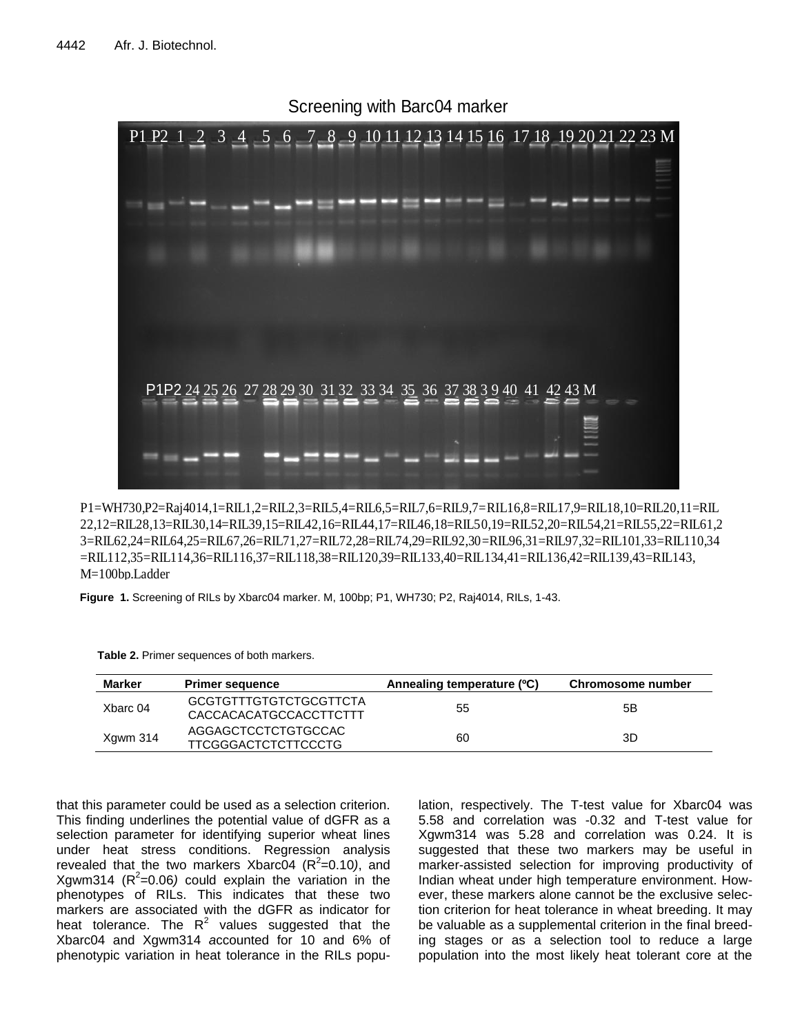

P1=WH730,P2=Raj4014,1=RIL1,2=RIL2,3=RIL5,4=RIL6,5=RIL7,6=RIL9,7=RIL16,8=RIL17,9=RIL18,10=RIL20,11=RIL 22,12=RIL28,13=RIL30,14=RIL39,15=RIL42,16=RIL44,17=RIL46,18=RIL50,19=RIL52,20=RIL54,21=RIL55,22=RIL61,2 3=RIL62,24=RIL64,25=RIL67,26=RIL71,27=RIL72,28=RIL74,29=RIL92,30=RIL96,31=RIL97,32=RIL101,33=RIL110,34 =RIL112,35=RIL114,36=RIL116,37=RIL118,38=RIL120,39=RIL133,40=RIL134,41=RIL136,42=RIL139,43=RIL143, M=100bp.Ladder

**Figure 1.** Screening of RILs by Xbarc04 marker. M, 100bp; P1, WH730; P2, Raj4014, RILs, 1-43.

| Table 2. Primer sequences of both markers. |  |
|--------------------------------------------|--|
|--------------------------------------------|--|

| <b>Marker</b> | <b>Primer sequence</b>                           | Annealing temperature (°C) | Chromosome number |
|---------------|--------------------------------------------------|----------------------------|-------------------|
| Xbarc 04      | GCGTGTTTGTGTCTGCGTTCTA<br>CACCACACATGCCACCTTCTTT | 55                         | 5Β                |
| Xgwm 314      | AGGAGCTCCTCTGTGCCAC<br>TTCGGGACTCTCTTCCCTG       | 60                         | 3D                |

that this parameter could be used as a selection criterion. This finding underlines the potential value of dGFR as a selection parameter for identifying superior wheat lines under heat stress conditions. Regression analysis revealed that the two markers Xbarc04 ( $R^2$ =0.10), and  $X$ gwm314 ( $R^2$ =0.06) could explain the variation in the phenotypes of RILs. This indicates that these two markers are associated with the dGFR as indicator for heat tolerance. The  $R^2$  values suggested that the Xbarc04 and Xgwm314 *a*ccounted for 10 and 6% of phenotypic variation in heat tolerance in the RILs popu-

lation, respectively. The T-test value for Xbarc04 was 5.58 and correlation was -0.32 and T-test value for Xgwm314 was 5.28 and correlation was 0.24. It is suggested that these two markers may be useful in marker-assisted selection for improving productivity of Indian wheat under high temperature environment. However, these markers alone cannot be the exclusive selection criterion for heat tolerance in wheat breeding. It may be valuable as a supplemental criterion in the final breeding stages or as a selection tool to reduce a large population into the most likely heat tolerant core at the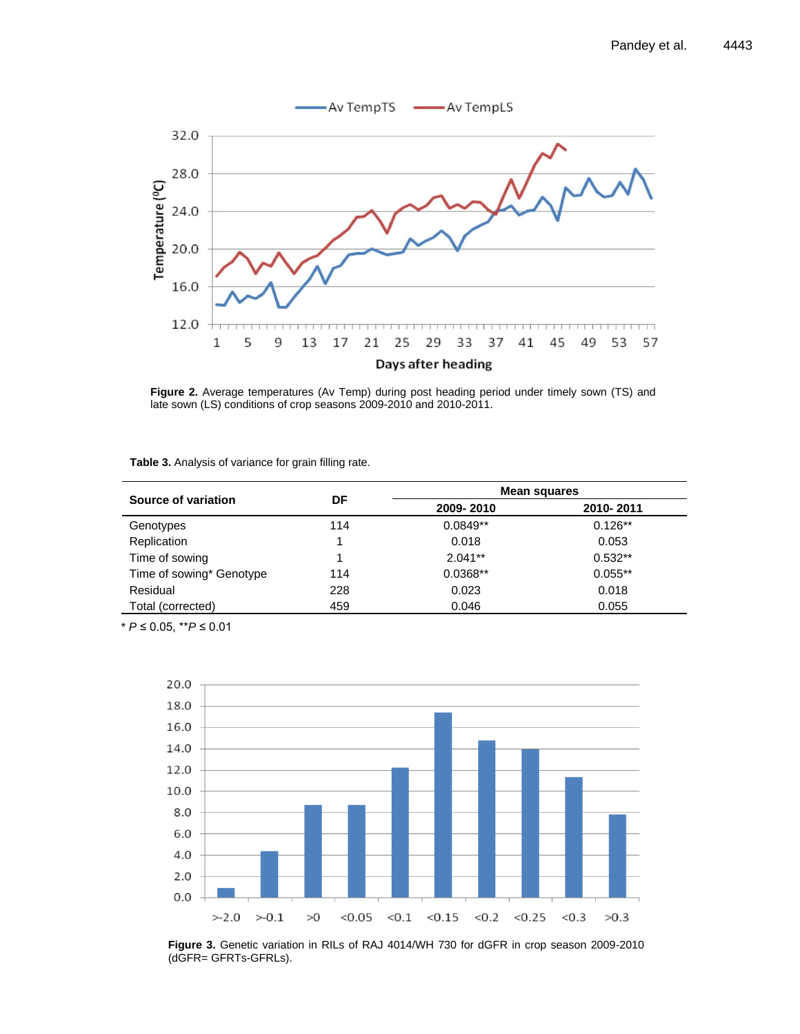

Figure 2. Average temperatures (Av Temp) during post heading period under timely sown (TS) and late sown (LS) conditions of crop seasons 2009-2010 and 2010-2011.

| Table 3. Analysis of variance for grain filling rate. |  |  |  |
|-------------------------------------------------------|--|--|--|
|                                                       |  |  |  |

|                          | DF  | Mean squares |           |  |
|--------------------------|-----|--------------|-----------|--|
| Source of variation      |     | 2009-2010    | 2010-2011 |  |
| Genotypes                | 114 | $0.0849**$   | $0.126**$ |  |
| Replication              |     | 0.018        | 0.053     |  |
| Time of sowing           |     | $2.041**$    | $0.532**$ |  |
| Time of sowing* Genotype | 114 | $0.0368**$   | $0.055**$ |  |
| Residual                 | 228 | 0.023        | 0.018     |  |
| Total (corrected)        | 459 | 0.046        | 0.055     |  |

\* *P* ≤ 0.05, \*\**P* ≤ 0.01



**Figure 3.** Genetic variation in RILs of RAJ 4014/WH 730 for dGFR in crop season 2009-2010 (dGFR= GFRTs-GFRLs).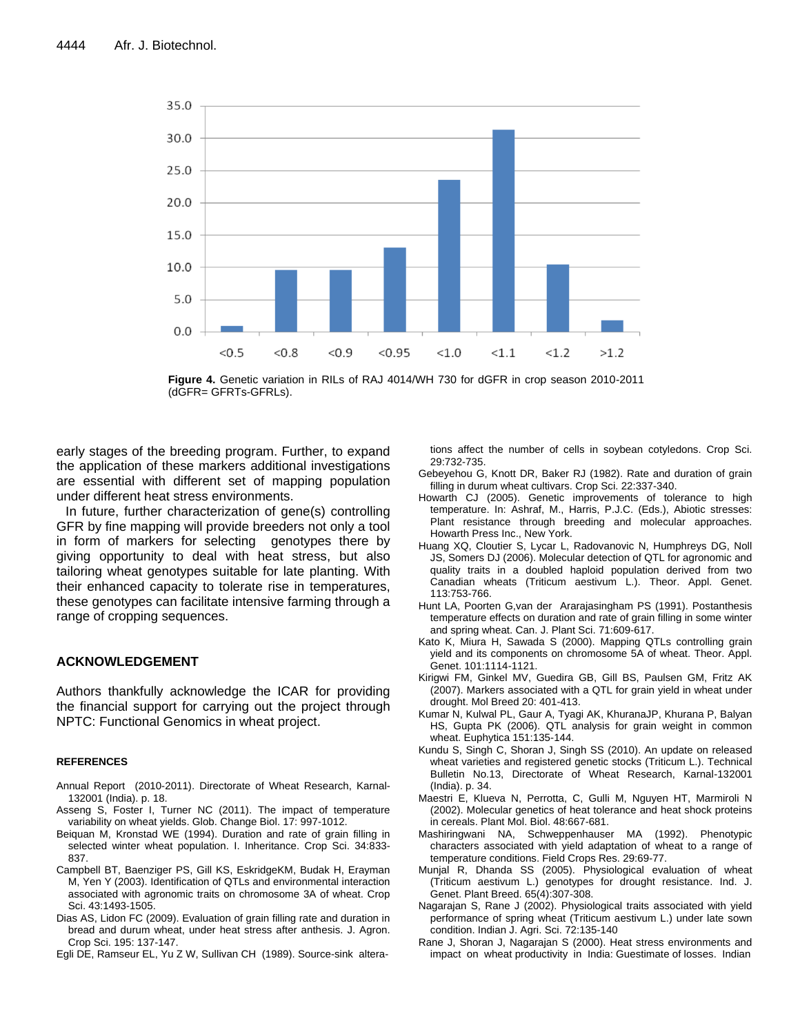

**Figure 4.** Genetic variation in RILs of RAJ 4014/WH 730 for dGFR in crop season 2010-2011 (dGFR= GFRTs-GFRLs).

early stages of the breeding program. Further, to expand the application of these markers additional investigations are essential with different set of mapping population under different heat stress environments.

In future, further characterization of gene(s) controlling GFR by fine mapping will provide breeders not only a tool in form of markers for selecting genotypes there by giving opportunity to deal with heat stress, but also tailoring wheat genotypes suitable for late planting. With their enhanced capacity to tolerate rise in temperatures, these genotypes can facilitate intensive farming through a range of cropping sequences.

#### **ACKNOWLEDGEMENT**

Authors thankfully acknowledge the ICAR for providing the financial support for carrying out the project through NPTC: Functional Genomics in wheat project.

#### **REFERENCES**

- Annual Report (2010-2011). Directorate of Wheat Research, Karnal-132001 (India). p. 18.
- Asseng S, Foster I, Turner NC (2011). The impact of temperature variability on wheat yields. Glob. Change Biol. 17: 997-1012.
- Beiquan M, Kronstad WE (1994). Duration and rate of grain filling in selected winter wheat population. I. Inheritance. Crop Sci. 34:833- 837.
- Campbell BT, Baenziger PS, Gill KS, EskridgeKM, Budak H, Erayman M, Yen Y (2003). Identification of QTLs and environmental interaction associated with agronomic traits on chromosome 3A of wheat. Crop Sci. 43:1493-1505.
- Dias AS, Lidon FC (2009). Evaluation of grain filling rate and duration in bread and durum wheat, under heat stress after anthesis. J. Agron. Crop Sci. 195: 137-147.
- Egli DE, Ramseur EL, Yu Z W, Sullivan CH (1989). Source-sink altera-

tions affect the number of cells in soybean cotyledons. Crop Sci. 29:732-735.

- Gebeyehou G, Knott DR, Baker RJ (1982). Rate and duration of grain filling in durum wheat cultivars. Crop Sci. 22:337-340.
- Howarth CJ (2005). Genetic improvements of tolerance to high temperature. In: Ashraf, M., Harris, P.J.C. (Eds.), Abiotic stresses: Plant resistance through breeding and molecular approaches. Howarth Press Inc., New York.
- Huang XQ, Cloutier S, Lycar L, Radovanovic N, Humphreys DG, Noll JS, Somers DJ (2006). Molecular detection of QTL for agronomic and quality traits in a doubled haploid population derived from two Canadian wheats (Triticum aestivum L.). Theor. Appl. Genet. 113:753-766.
- Hunt LA, Poorten G,van der Ararajasingham PS (1991). Postanthesis temperature effects on duration and rate of grain filling in some winter and spring wheat. Can. J. Plant Sci. 71:609-617.
- Kato K, Miura H, Sawada S (2000). Mapping QTLs controlling grain yield and its components on chromosome 5A of wheat. Theor. Appl. Genet. 101:1114-1121.
- Kirigwi FM, Ginkel MV, Guedira GB, Gill BS, Paulsen GM, Fritz AK (2007). Markers associated with a QTL for grain yield in wheat under drought. Mol Breed 20: 401-413.
- Kumar N, Kulwal PL, Gaur A, Tyagi AK, KhuranaJP, Khurana P, Balyan HS, Gupta PK (2006). QTL analysis for grain weight in common wheat. Euphytica 151:135-144.
- Kundu S, Singh C, Shoran J, Singh SS (2010). An update on released wheat varieties and registered genetic stocks (Triticum L.). Technical Bulletin No.13, Directorate of Wheat Research, Karnal-132001 (India). p. 34.
- Maestri E, Klueva N, Perrotta, C, Gulli M, Nguyen HT, Marmiroli N (2002). Molecular genetics of heat tolerance and heat shock proteins in cereals. Plant Mol. Biol. 48:667-681.
- Mashiringwani NA, Schweppenhauser MA (1992). Phenotypic characters associated with yield adaptation of wheat to a range of temperature conditions. Field Crops Res. 29:69-77.
- Munjal R, Dhanda SS (2005). Physiological evaluation of wheat (Triticum aestivum L.) genotypes for drought resistance. Ind. J. Genet. Plant Breed. 65(4):307-308.
- Nagarajan S, Rane J (2002). Physiological traits associated with yield performance of spring wheat (Triticum aestivum L.) under late sown condition. Indian J. Agri. Sci. 72:135-140
- Rane J, Shoran J, Nagarajan S (2000). Heat stress environments and impact on wheat productivity in India: Guestimate of losses. Indian